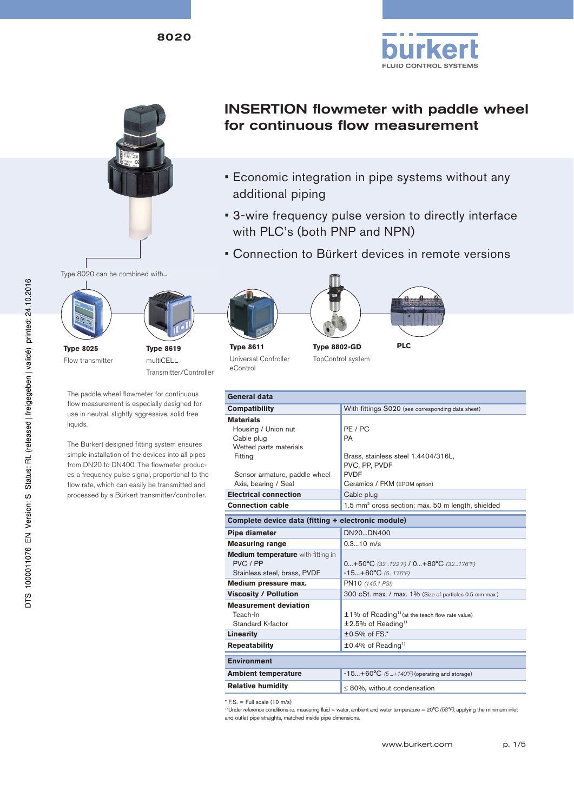



# INSERTION flowmeter with paddle wheel for continuous flow measurement

- Economic integration in pipe systems without any additional piping
- 3-wire frequency pulse version to directly interface with PLC's (both PNP and NPN)
- Connection to Bürkert devices in remote versions





multiCELL Transmitter/Controller

The paddle wheel flowmeter for continuous flow measurement is especially designed for use in neutral, slightly aggressive, solid free liquids.

The Bürkert designed fitting system ensures simple installation of the devices into all pipes from DN20 to DN400. The flowmeter produces a frequency pulse signal, proportional to the flow rate, which can easily be transmitted and processed by a Bürkert transmitter/controller.











**Type 8611** Universal Controller eControl

**Type 8802-GD** TopControl system

**PLC**

| General data                                                                                                                                        |                                                                                                                                                                   |  |  |
|-----------------------------------------------------------------------------------------------------------------------------------------------------|-------------------------------------------------------------------------------------------------------------------------------------------------------------------|--|--|
| <b>Compatibility</b>                                                                                                                                | With fittings S020 (see corresponding data sheet)                                                                                                                 |  |  |
| <b>Materials</b><br>Housing / Union nut<br>Cable plug<br>Wetted parts materials<br>Fitting<br>Sensor armature, paddle wheel<br>Axis, bearing / Seal | PE / PC<br>PA<br>Brass, stainless steel 1.4404/316L,<br>PVC, PP, PVDF<br><b>PVDF</b><br>Ceramics / FKM (EPDM option)                                              |  |  |
| <b>Electrical connection</b>                                                                                                                        | Cable plug                                                                                                                                                        |  |  |
| <b>Connection cable</b>                                                                                                                             | 1.5 mm <sup>2</sup> cross section; max. 50 m length, shielded                                                                                                     |  |  |
| Complete device data (fitting + electronic module)                                                                                                  |                                                                                                                                                                   |  |  |
| Pipe diameter                                                                                                                                       | DN20DN400                                                                                                                                                         |  |  |
| <b>Measuring range</b>                                                                                                                              | $0.310$ m/s                                                                                                                                                       |  |  |
| Medium temperature with fitting in<br>PVC / PP<br>Stainless steel, brass, PVDF                                                                      | 0+50°C (32122°F) / 0+80°C (32176°F)<br>$-15+80^{\circ}C(5176^{\circ}F)$                                                                                           |  |  |
| Medium pressure max.                                                                                                                                | PN10 (145.1 PSI)                                                                                                                                                  |  |  |
| <b>Viscosity / Pollution</b><br><b>Measurement deviation</b><br>Teach-In<br>Standard K-factor                                                       | 300 cSt. max. / max. 1% (Size of particles 0.5 mm max.)<br>$\pm 1\%$ of Reading <sup>1)</sup> (at the teach flow rate value)<br>$±2.5\%$ of Reading <sup>1)</sup> |  |  |
| <b>Linearity</b>                                                                                                                                    | ±0.5% of FS.*                                                                                                                                                     |  |  |
| <b>Repeatability</b>                                                                                                                                | $\pm$ 0.4% of Reading <sup>1)</sup>                                                                                                                               |  |  |
| <b>Environment</b>                                                                                                                                  |                                                                                                                                                                   |  |  |
| <b>Ambient temperature</b>                                                                                                                          | $-15+60^{\circ}C$ (5  + 140°F) (operating and storage)                                                                                                            |  |  |
| <b>Relative humidity</b>                                                                                                                            | $\leq$ 80%, without condensation                                                                                                                                  |  |  |

 $*$  F.S. = Full scale (10 m/s)

1) Under reference conditions i.e. measuring fluid = water, ambient and water temperature = 20°C *(68°F)*, applying the minimum inlet and outlet pipe straights, matched inside pipe dimensions.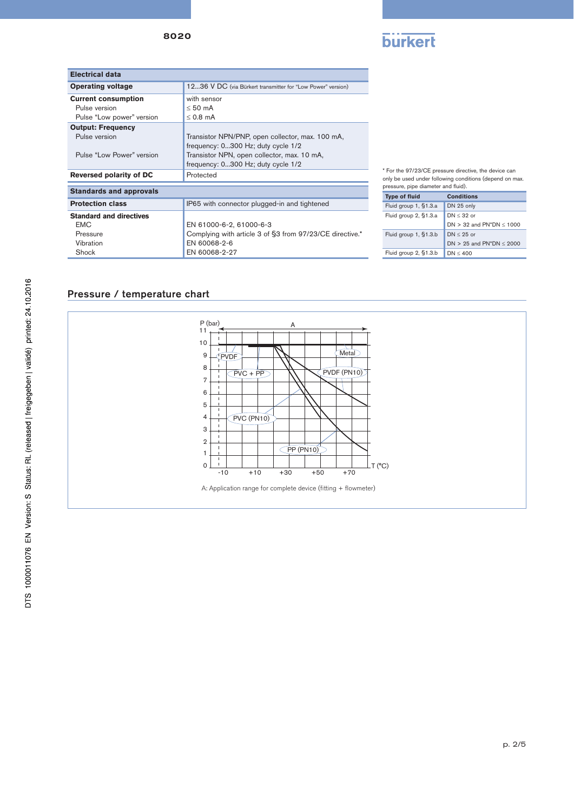8020



| <b>Electrical data</b>                                                         |                                                                                                                                       |
|--------------------------------------------------------------------------------|---------------------------------------------------------------------------------------------------------------------------------------|
| <b>Operating voltage</b>                                                       | 1236 V DC (via Bürkert transmitter for "Low Power" version)                                                                           |
| <b>Current consumption</b><br>Pulse version                                    | with sensor<br>$< 50 \text{ mA}$                                                                                                      |
| Pulse "Low power" version                                                      | $\leq$ 0.8 mA                                                                                                                         |
| <b>Output: Frequency</b><br>Pulse version<br>Pulse "Low Power" version         | Transistor NPN/PNP, open collector, max. 100 mA,<br>frequency: 0300 Hz; duty cycle 1/2<br>Transistor NPN, open collector, max. 10 mA, |
| Reversed polarity of DC                                                        | frequency: 0300 Hz; duty cycle 1/2<br>Protected                                                                                       |
| <b>Standards and approvals</b>                                                 |                                                                                                                                       |
| <b>Protection class</b>                                                        | IP65 with connector plugged-in and tightened                                                                                          |
| <b>Standard and directives</b><br><b>EMC</b><br>Pressure<br>Vibration<br>Shock | EN 61000-6-2, 61000-6-3<br>Complying with article 3 of §3 from 97/23/CE directive.*<br>EN 60068-2-6<br>EN 60068-2-27                  |

\* For the 97/23/CE pressure directive, the device can only be used under following conditions (depend on max.

| pressure, pipe diameter and fluid). |                            |  |  |
|-------------------------------------|----------------------------|--|--|
| <b>Type of fluid</b>                | <b>Conditions</b>          |  |  |
| Fluid group 1, §1.3.a               | DN 25 only                 |  |  |
| Fluid group 2, §1.3.a               | $DN < 32$ or               |  |  |
|                                     | DN $>$ 32 and PN*DN < 1000 |  |  |
| Fluid group 1, §1.3.b               | $DN < 25$ or               |  |  |
|                                     | DN $> 25$ and PN*DN < 2000 |  |  |
| Fluid group 2, §1.3.b               | DN < 400                   |  |  |

## Pressure / temperature chart

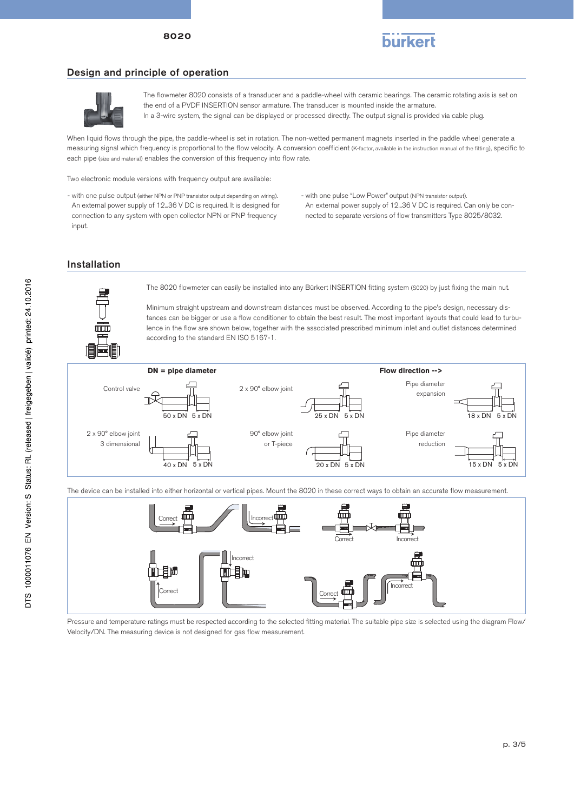



#### Design and principle of operation



The flowmeter 8020 consists of a transducer and a paddle-wheel with ceramic bearings. The ceramic rotating axis is set on the end of a PVDF INSERTION sensor armature. The transducer is mounted inside the armature. In a 3-wire system, the signal can be displayed or processed directly. The output signal is provided via cable plug.

When liquid flows through the pipe, the paddle-wheel is set in rotation. The non-wetted permanent magnets inserted in the paddle wheel generate a measuring signal which frequency is proportional to the flow velocity. A conversion coefficient (K-factor, available in the instruction manual of the fitting), specific to each pipe (size and material) enables the conversion of this frequency into flow rate.

Two electronic module versions with frequency output are available:

- with one pulse output (either NPN or PNP transistor output depending on wiring). An external power supply of 12...36 V DC is required. It is designed for connection to any system with open collector NPN or PNP frequency input.

- with one pulse "Low Power" output (NPN transistor output). An external power supply of 12...36 V DC is required. Can only be connected to separate versions of flow transmitters Type 8025/8032.

### Installation



The 8020 flowmeter can easily be installed into any Bürkert INSERTION fitting system (S020) by just fixing the main nut.

Minimum straight upstream and downstream distances must be observed. According to the pipe's design, necessary distances can be bigger or use a flow conditioner to obtain the best result. The most important layouts that could lead to turbulence in the flow are shown below, together with the associated prescribed minimum inlet and outlet distances determined according to the standard EN ISO 5167-1.



The device can be installed into either horizontal or vertical pipes. Mount the 8020 in these correct ways to obtain an accurate flow measurement.



Pressure and temperature ratings must be respected according to the selected fitting material. The suitable pipe size is selected using the diagram Flow/ Velocity/DN. The measuring device is not designed for gas flow measurement.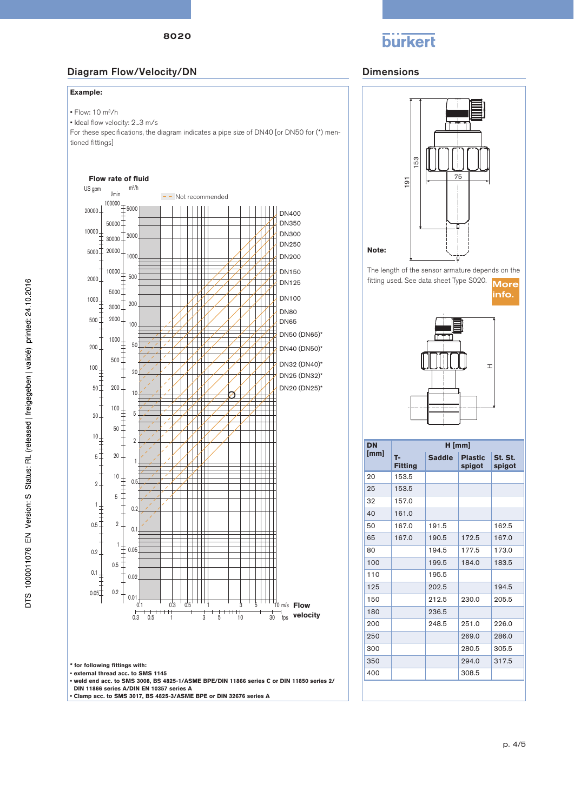# **burkert**

# Diagram Flow/Velocity/DN Dimensions

#### **Example:**

• Flow: 10 m3/h

• Ideal flow velocity: 2...3 m/s

For these specifications, the diagram indicates a pipe size of DN40 [or DN50 for (\*) mentioned fittings]

#### **Flow rate of fluid**



**\* for following fittings with:**

**• external thread acc. to SMS 1145**

**• weld end acc. to SMS 3008, BS 4825-1/ASME BPE/DIN 11866 series C or DIN 11850 series 2/ DIN 11866 series A/DIN EN 10357 series A**

**• Clamp acc. to SMS 3017, BS 4825-3/ASME BPE or DIN 32676 series A**



The length of the sensor armature depends on the fitting used. See data sheet Type S020. More





| <b>DN</b> | $H$ [mm]             |               |                          |                   |  |
|-----------|----------------------|---------------|--------------------------|-------------------|--|
| [mm]      | т.<br><b>Fitting</b> | <b>Saddle</b> | <b>Plastic</b><br>spigot | St. St.<br>spigot |  |
| 20        | 153.5                |               |                          |                   |  |
| 25        | 153.5                |               |                          |                   |  |
| 32        | 157.0                |               |                          |                   |  |
| 40        | 161.0                |               |                          |                   |  |
| 50        | 167.0                | 191.5         |                          | 162.5             |  |
| 65        | 167.0                | 190.5         | 172.5                    | 167.0             |  |
| 80        |                      | 194.5         | 177.5                    | 173.0             |  |
| 100       |                      | 199.5         | 184.0                    | 183.5             |  |
| 110       |                      | 195.5         |                          |                   |  |
| 125       |                      | 202.5         |                          | 194.5             |  |
| 150       |                      | 212.5         | 230.0                    | 205.5             |  |
| 180       |                      | 236.5         |                          |                   |  |
| 200       |                      | 248.5         | 251.0                    | 226.0             |  |
| 250       |                      |               | 269.0                    | 286.0             |  |
| 300       |                      |               | 280.5                    | 305.5             |  |
| 350       |                      |               | 294.0                    | 317.5             |  |
| 400       |                      |               | 308.5                    |                   |  |
|           |                      |               |                          |                   |  |